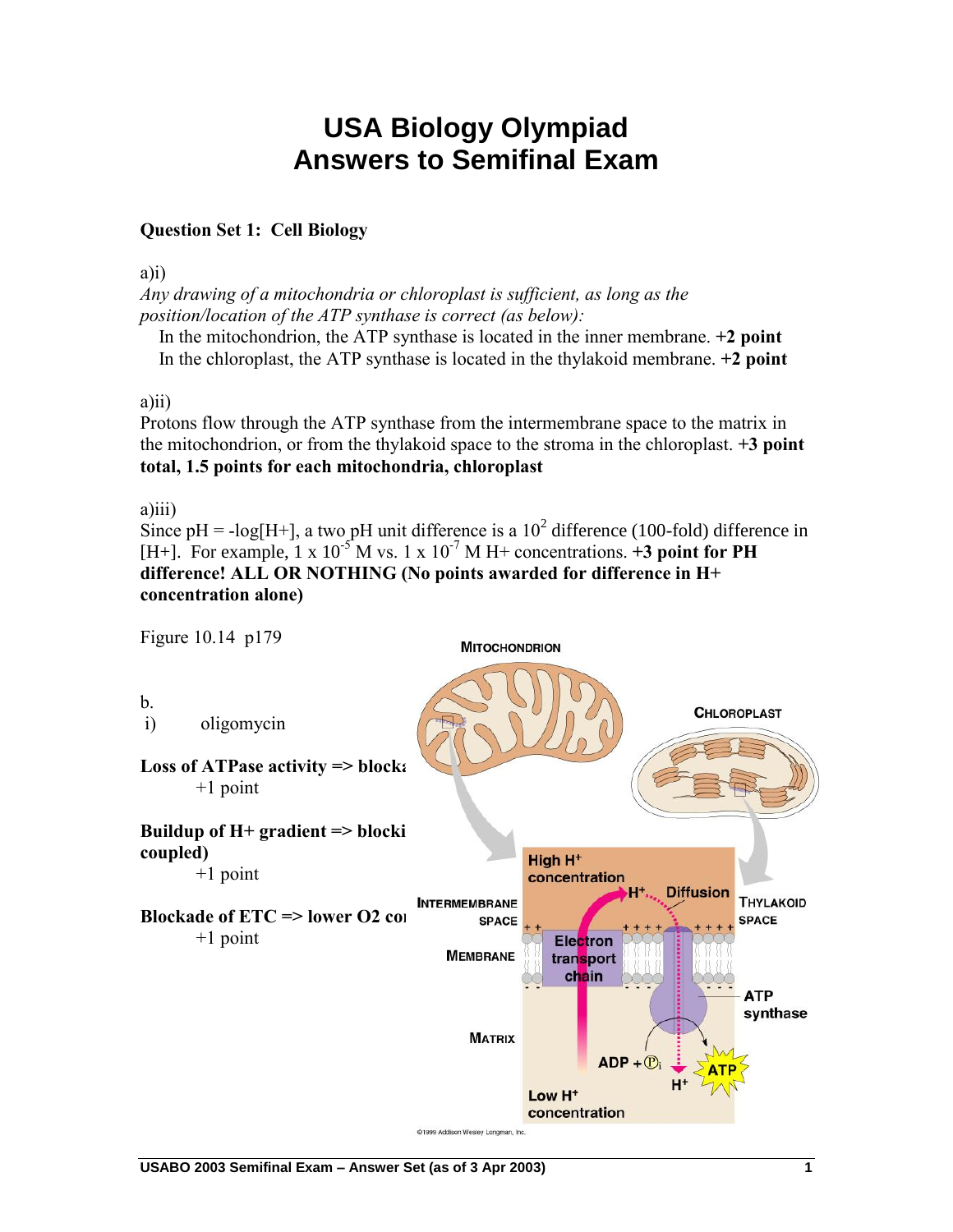# **USA Biology Olympiad Answers to Semifinal Exam**

## **Question Set 1: Cell Biology**

a)i)

*Any drawing of a mitochondria or chloroplast is sufficient, as long as the position/location of the ATP synthase is correct (as below):*

 In the mitochondrion, the ATP synthase is located in the inner membrane. **+2 point** In the chloroplast, the ATP synthase is located in the thylakoid membrane. **+2 point**

#### a)ii)

Protons flow through the ATP synthase from the intermembrane space to the matrix in the mitochondrion, or from the thylakoid space to the stroma in the chloroplast. **+3 point total, 1.5 points for each mitochondria, chloroplast**

a)iii)

Since pH = -log[H+], a two pH unit difference is a  $10^2$  difference (100-fold) difference in [H+]. For example,  $1 \times 10^{-5}$  M vs. 1 x  $10^{-7}$  M H+ concentrations.  $\pm 3$  point for PH **difference! ALL OR NOTHING (No points awarded for difference in H+ concentration alone)**

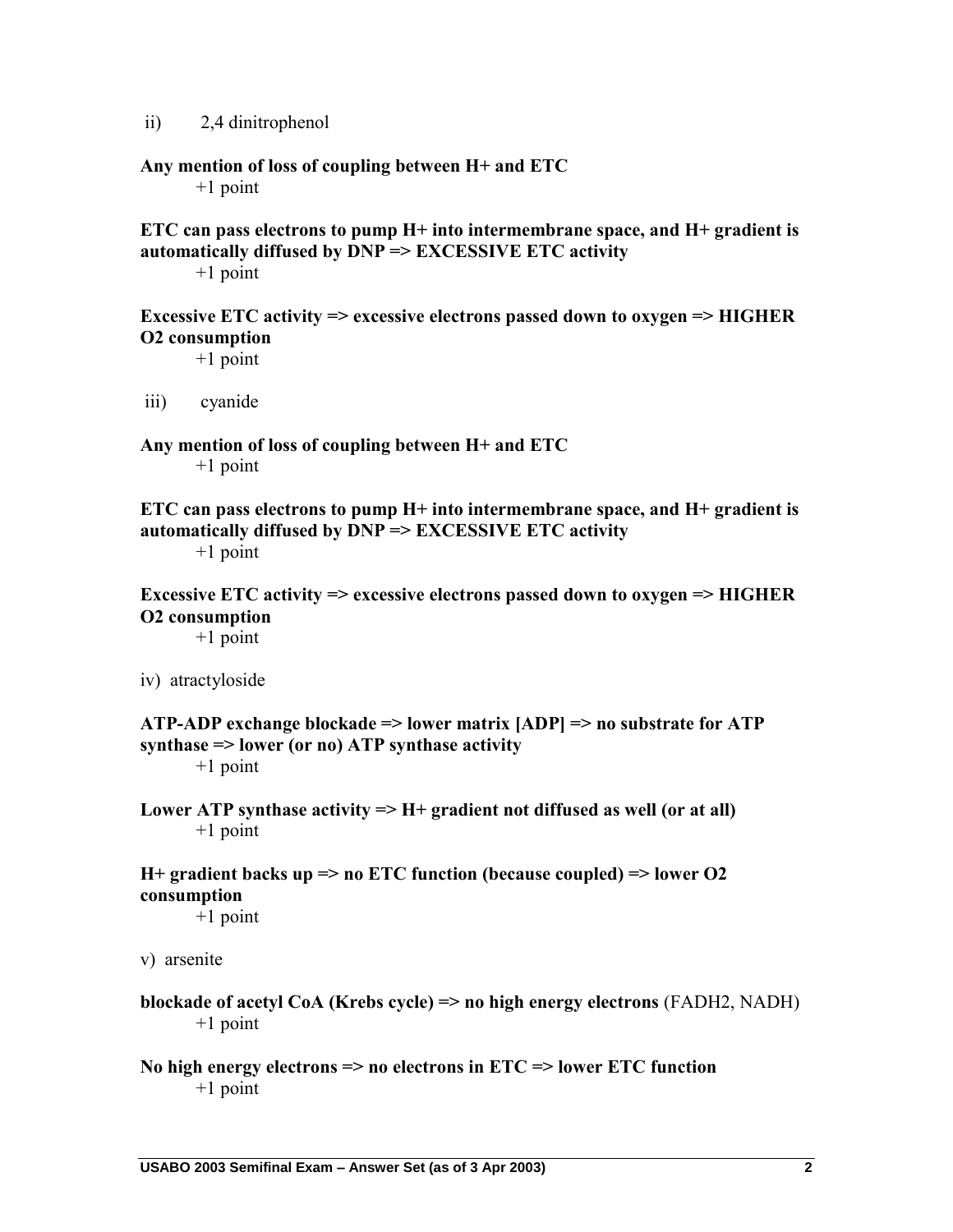ii) 2,4 dinitrophenol

# **Any mention of loss of coupling between H+ and ETC**

+1 point

# **ETC can pass electrons to pump H+ into intermembrane space, and H+ gradient is automatically diffused by DNP => EXCESSIVE ETC activity**

+1 point

**Excessive ETC activity => excessive electrons passed down to oxygen => HIGHER O2 consumption**

+1 point

iii) cyanide

**Any mention of loss of coupling between H+ and ETC**  +1 point

**ETC can pass electrons to pump H+ into intermembrane space, and H+ gradient is automatically diffused by DNP => EXCESSIVE ETC activity**  +1 point

**Excessive ETC activity => excessive electrons passed down to oxygen => HIGHER O2 consumption**

+1 point

iv) atractyloside

**ATP-ADP exchange blockade => lower matrix [ADP] => no substrate for ATP synthase => lower (or no) ATP synthase activity**

+1 point

**Lower ATP synthase activity => H+ gradient not diffused as well (or at all)** +1 point

## **H+ gradient backs up => no ETC function (because coupled) => lower O2 consumption**

+1 point

v) arsenite

#### **blockade of acetyl CoA (Krebs cycle) => no high energy electrons** (FADH2, NADH) +1 point

#### **No high energy electrons => no electrons in ETC => lower ETC function** +1 point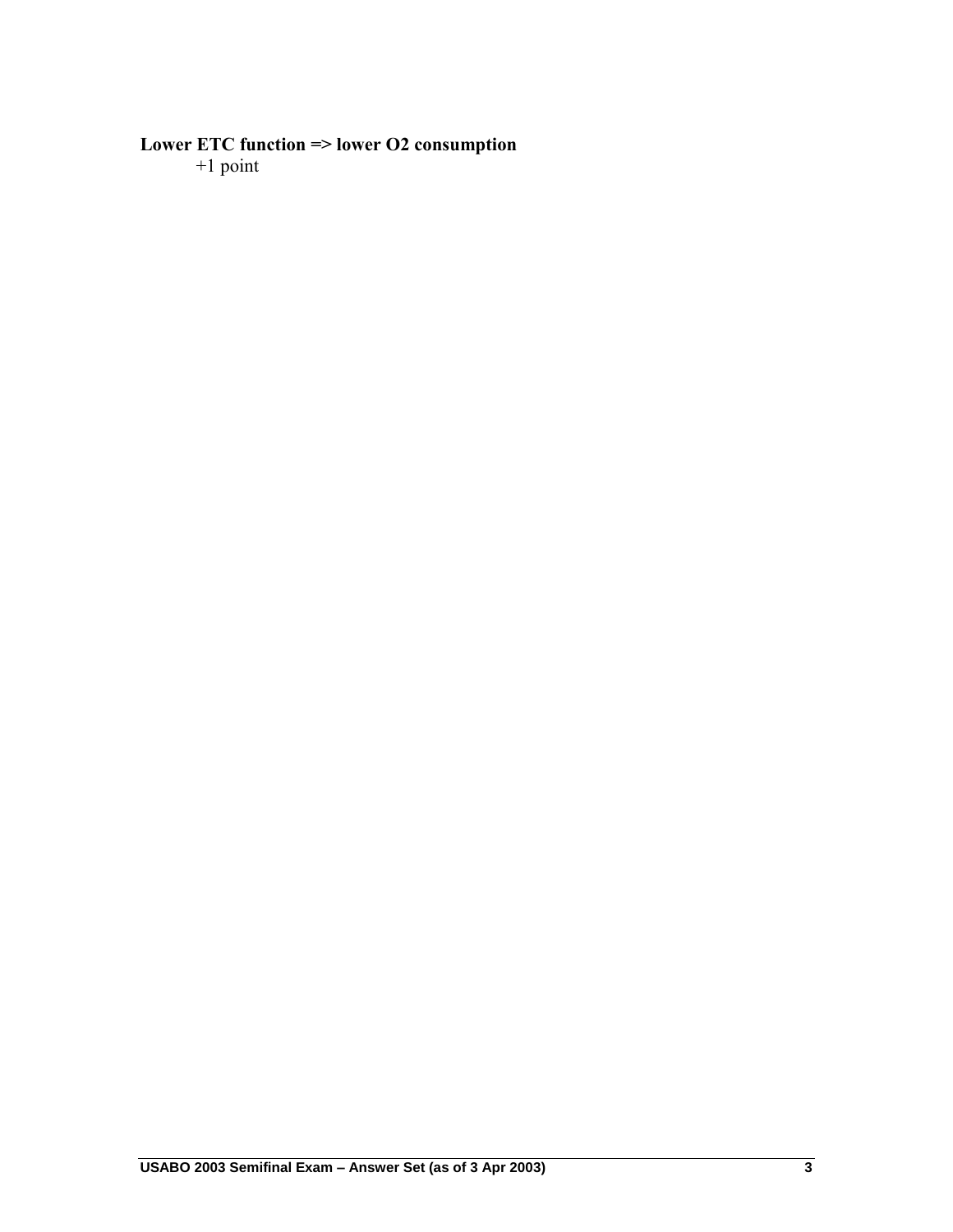#### **Lower ETC function => lower O2 consumption**

+1 point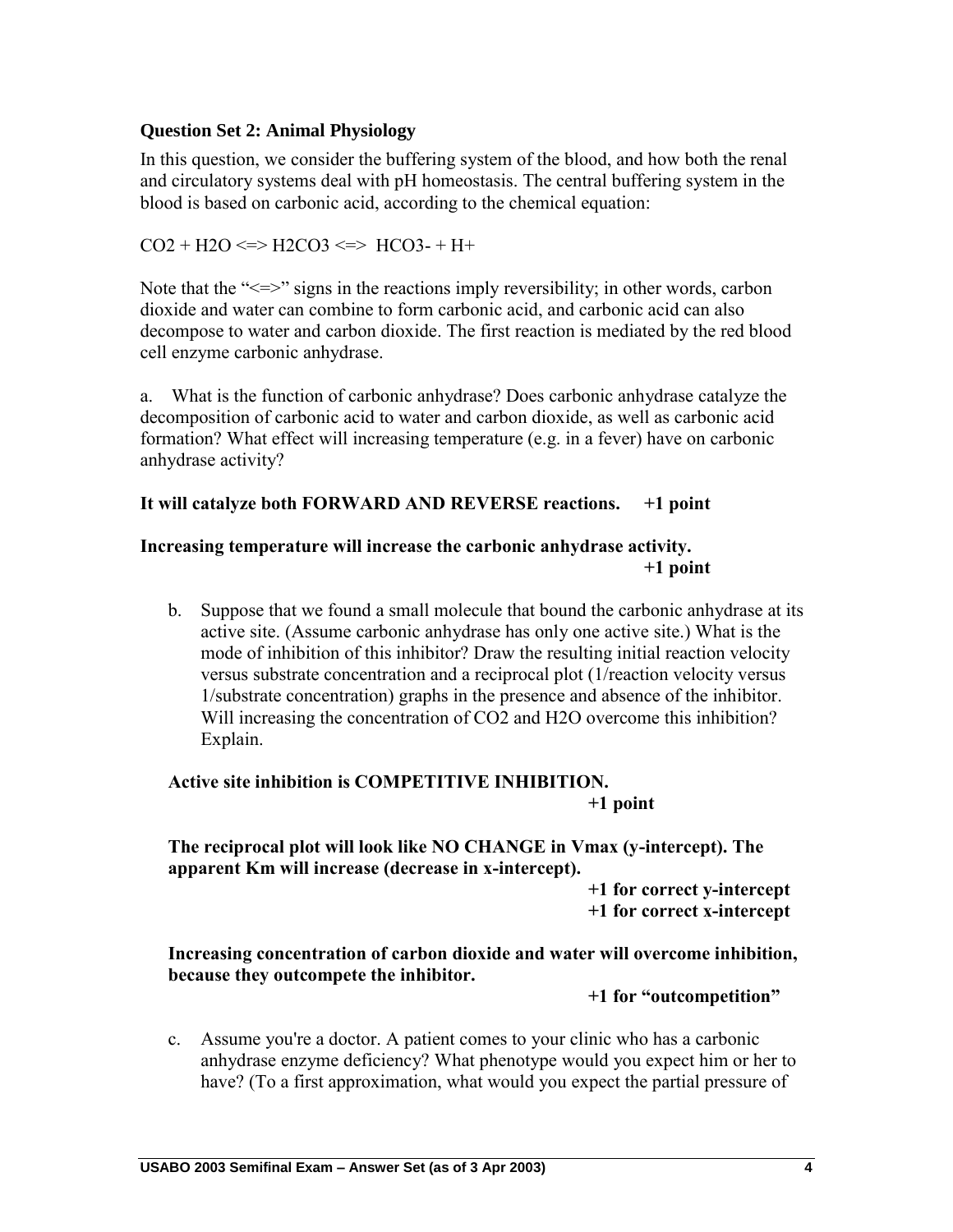## **Question Set 2: Animal Physiology**

In this question, we consider the buffering system of the blood, and how both the renal and circulatory systems deal with pH homeostasis. The central buffering system in the blood is based on carbonic acid, according to the chemical equation:

#### $CO2 + H2O \le H2CO3 \le HCO3 - H+$

Note that the " $\le$  signs in the reactions imply reversibility; in other words, carbon dioxide and water can combine to form carbonic acid, and carbonic acid can also decompose to water and carbon dioxide. The first reaction is mediated by the red blood cell enzyme carbonic anhydrase.

a. What is the function of carbonic anhydrase? Does carbonic anhydrase catalyze the decomposition of carbonic acid to water and carbon dioxide, as well as carbonic acid formation? What effect will increasing temperature (e.g. in a fever) have on carbonic anhydrase activity?

#### **It will catalyze both FORWARD AND REVERSE reactions. +1 point**

#### **Increasing temperature will increase the carbonic anhydrase activity. +1 point**

b. Suppose that we found a small molecule that bound the carbonic anhydrase at its active site. (Assume carbonic anhydrase has only one active site.) What is the mode of inhibition of this inhibitor? Draw the resulting initial reaction velocity versus substrate concentration and a reciprocal plot (1/reaction velocity versus 1/substrate concentration) graphs in the presence and absence of the inhibitor. Will increasing the concentration of CO2 and H2O overcome this inhibition? Explain.

#### **Active site inhibition is COMPETITIVE INHIBITION. +1 point**

#### **The reciprocal plot will look like NO CHANGE in Vmax (y-intercept). The apparent Km will increase (decrease in x-intercept).**

**+1 for correct y-intercept +1 for correct x-intercept**

#### **Increasing concentration of carbon dioxide and water will overcome inhibition, because they outcompete the inhibitor.**

#### **+1 for "outcompetition"**

c. Assume you're a doctor. A patient comes to your clinic who has a carbonic anhydrase enzyme deficiency? What phenotype would you expect him or her to have? (To a first approximation, what would you expect the partial pressure of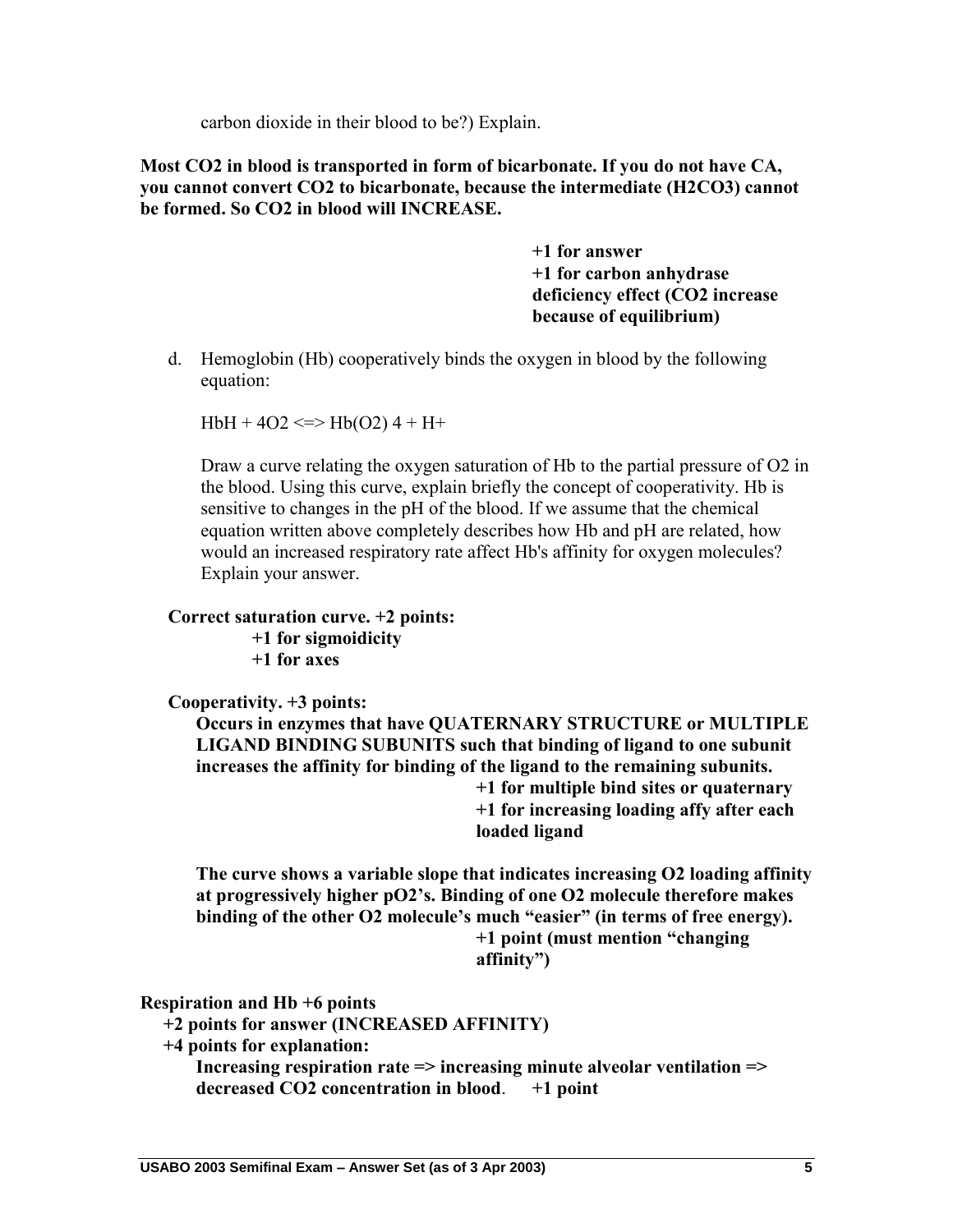carbon dioxide in their blood to be?) Explain.

**Most CO2 in blood is transported in form of bicarbonate. If you do not have CA, you cannot convert CO2 to bicarbonate, because the intermediate (H2CO3) cannot be formed. So CO2 in blood will INCREASE.**

> **+1 for answer +1 for carbon anhydrase deficiency effect (CO2 increase because of equilibrium)**

d. Hemoglobin (Hb) cooperatively binds the oxygen in blood by the following equation:

 $HbH + 4O2 \leq V \leq Hb(O2) + H +$ 

Draw a curve relating the oxygen saturation of Hb to the partial pressure of O2 in the blood. Using this curve, explain briefly the concept of cooperativity. Hb is sensitive to changes in the pH of the blood. If we assume that the chemical equation written above completely describes how Hb and pH are related, how would an increased respiratory rate affect Hb's affinity for oxygen molecules? Explain your answer.

#### **Correct saturation curve. +2 points:**

**+1 for sigmoidicity**

**+1 for axes**

**Cooperativity. +3 points:**

**Occurs in enzymes that have QUATERNARY STRUCTURE or MULTIPLE LIGAND BINDING SUBUNITS such that binding of ligand to one subunit increases the affinity for binding of the ligand to the remaining subunits.**

**+1 for multiple bind sites or quaternary +1 for increasing loading affy after each loaded ligand**

**The curve shows a variable slope that indicates increasing O2 loading affinity at progressively higher pO2's. Binding of one O2 molecule therefore makes binding of the other O2 molecule's much "easier" (in terms of free energy). +1 point (must mention "changing** 

**affinity")**

**Respiration and Hb +6 points**

**+2 points for answer (INCREASED AFFINITY)**

**+4 points for explanation:**

**Increasing respiration rate => increasing minute alveolar ventilation => decreased CO2 concentration in blood**. **+1 point**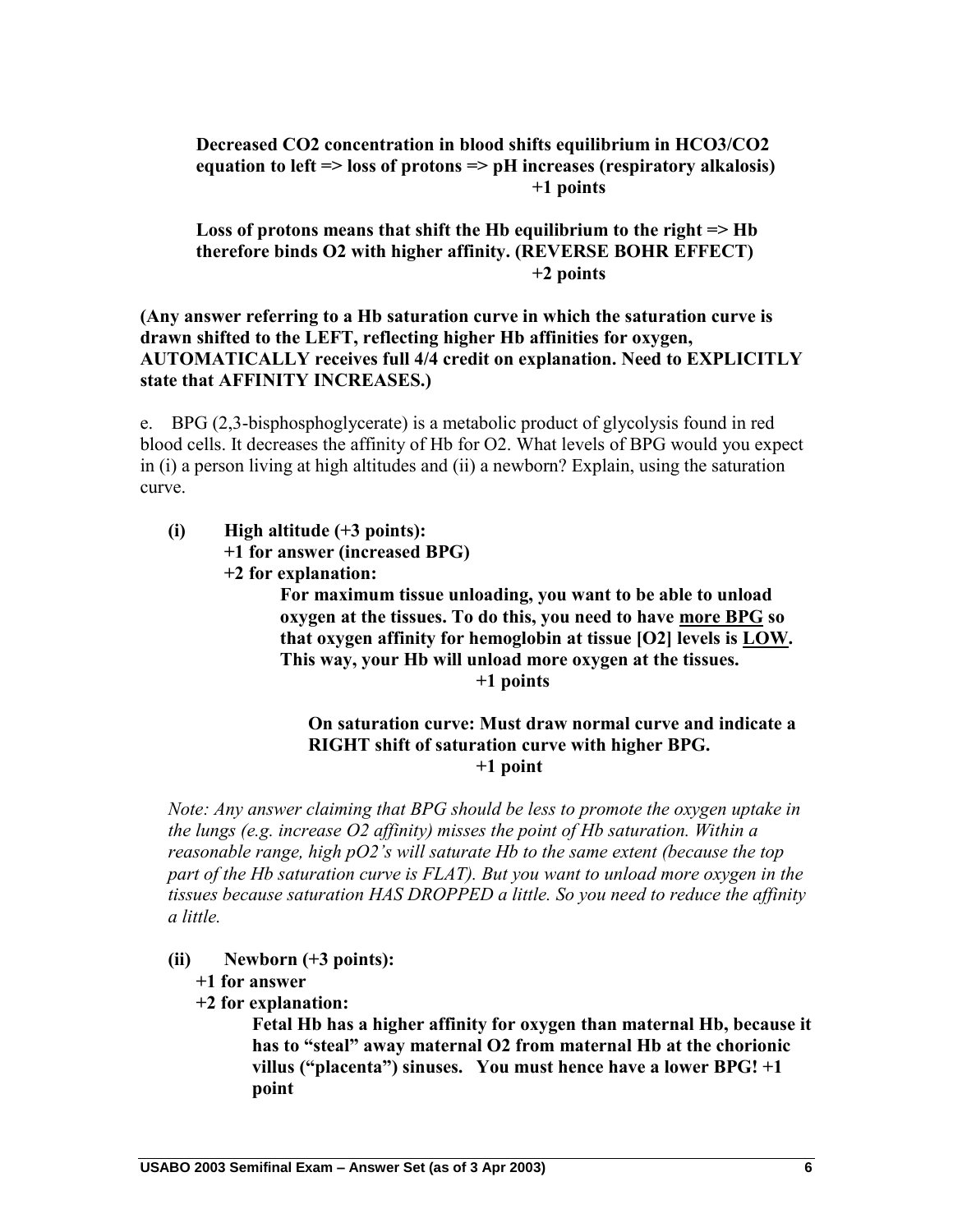#### **Decreased CO2 concentration in blood shifts equilibrium in HCO3/CO2 equation to left => loss of protons => pH increases (respiratory alkalosis) +1 points**

**Loss of protons means that shift the Hb equilibrium to the right => Hb therefore binds O2 with higher affinity. (REVERSE BOHR EFFECT) +2 points**

#### **(Any answer referring to a Hb saturation curve in which the saturation curve is drawn shifted to the LEFT, reflecting higher Hb affinities for oxygen, AUTOMATICALLY receives full 4/4 credit on explanation. Need to EXPLICITLY state that AFFINITY INCREASES.)**

e. BPG (2,3-bisphosphoglycerate) is a metabolic product of glycolysis found in red blood cells. It decreases the affinity of Hb for O2. What levels of BPG would you expect in (i) a person living at high altitudes and (ii) a newborn? Explain, using the saturation curve.

- **(i) High altitude (+3 points):**
	- **+1 for answer (increased BPG)**
	- **+2 for explanation:**

**For maximum tissue unloading, you want to be able to unload oxygen at the tissues. To do this, you need to have more BPG so that oxygen affinity for hemoglobin at tissue [O2] levels is LOW. This way, your Hb will unload more oxygen at the tissues. +1 points**

#### **On saturation curve: Must draw normal curve and indicate a RIGHT shift of saturation curve with higher BPG. +1 point**

*Note: Any answer claiming that BPG should be less to promote the oxygen uptake in the lungs (e.g. increase O2 affinity) misses the point of Hb saturation. Within a reasonable range, high pO2's will saturate Hb to the same extent (because the top part of the Hb saturation curve is FLAT). But you want to unload more oxygen in the tissues because saturation HAS DROPPED a little. So you need to reduce the affinity a little.* 

- **(ii) Newborn (+3 points):**
	- **+1 for answer**
	- **+2 for explanation:**

**Fetal Hb has a higher affinity for oxygen than maternal Hb, because it has to "steal" away maternal O2 from maternal Hb at the chorionic villus ("placenta") sinuses. You must hence have a lower BPG! +1 point**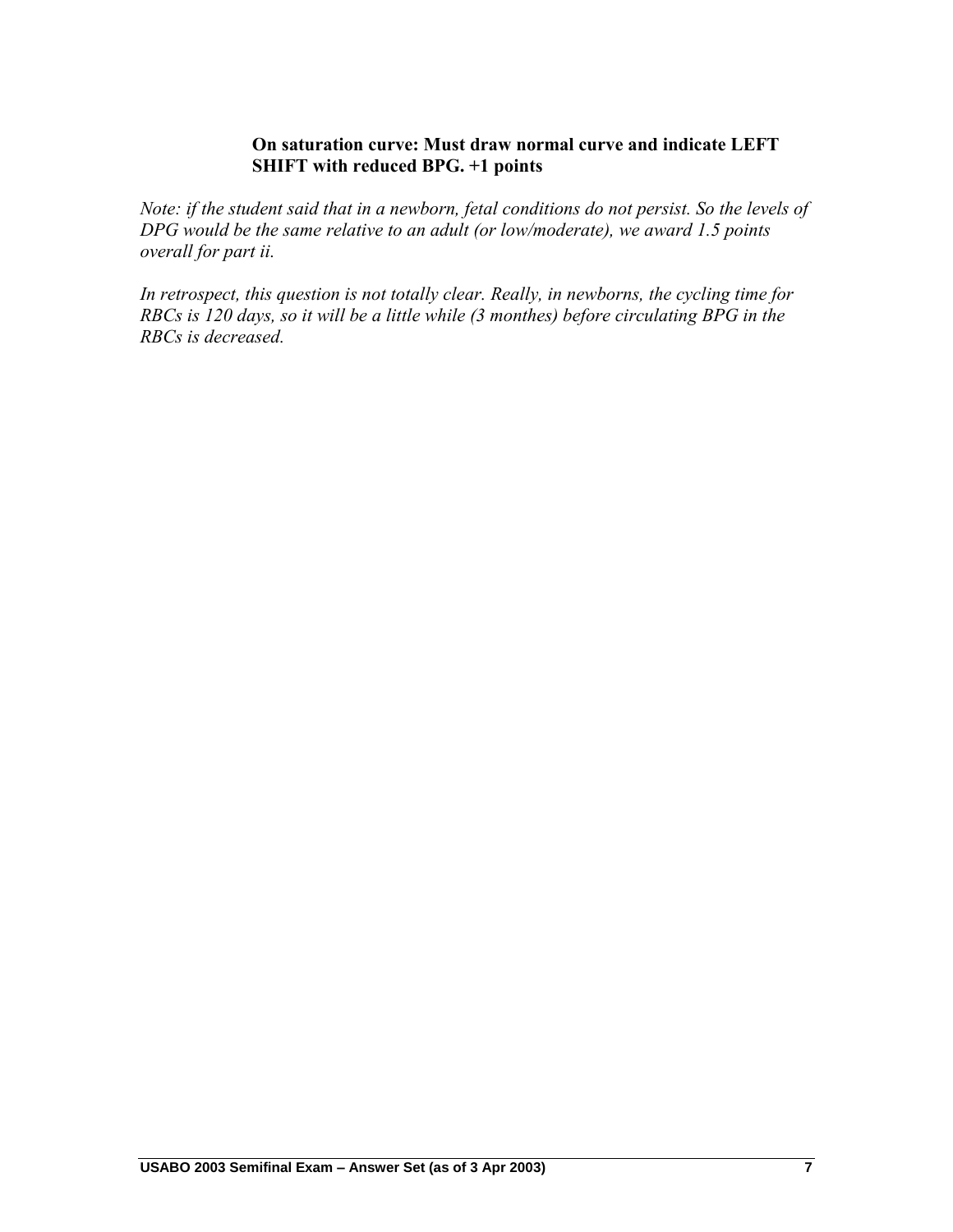## **On saturation curve: Must draw normal curve and indicate LEFT SHIFT with reduced BPG. +1 points**

*Note: if the student said that in a newborn, fetal conditions do not persist. So the levels of DPG would be the same relative to an adult (or low/moderate), we award 1.5 points overall for part ii.* 

*In retrospect, this question is not totally clear. Really, in newborns, the cycling time for RBCs is 120 days, so it will be a little while (3 monthes) before circulating BPG in the RBCs is decreased.*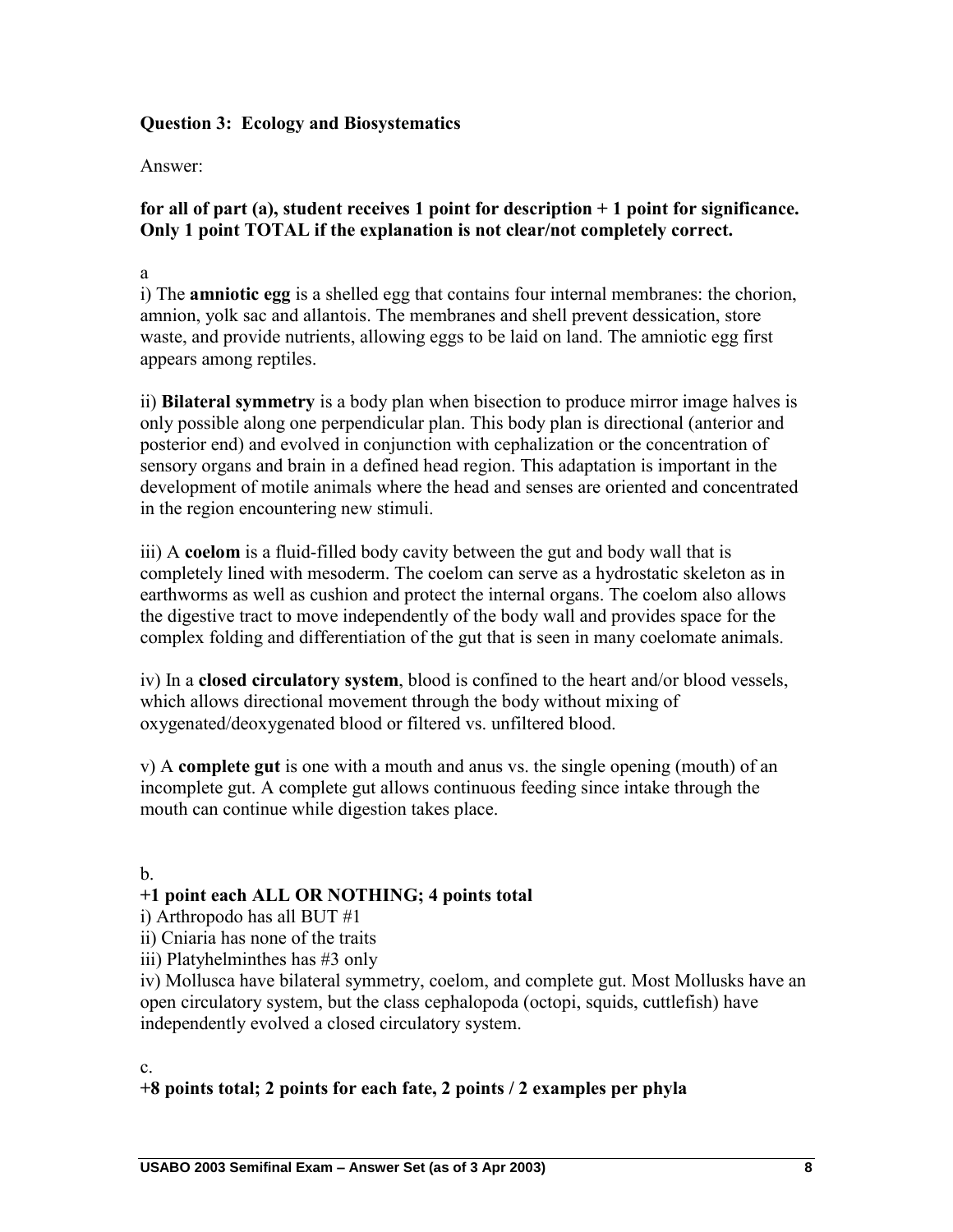## **Question 3: Ecology and Biosystematics**

#### Answer:

## **for all of part (a), student receives 1 point for description + 1 point for significance. Only 1 point TOTAL if the explanation is not clear/not completely correct.**

a

i) The **amniotic egg** is a shelled egg that contains four internal membranes: the chorion, amnion, yolk sac and allantois. The membranes and shell prevent dessication, store waste, and provide nutrients, allowing eggs to be laid on land. The amniotic egg first appears among reptiles.

ii) **Bilateral symmetry** is a body plan when bisection to produce mirror image halves is only possible along one perpendicular plan. This body plan is directional (anterior and posterior end) and evolved in conjunction with cephalization or the concentration of sensory organs and brain in a defined head region. This adaptation is important in the development of motile animals where the head and senses are oriented and concentrated in the region encountering new stimuli.

iii) A **coelom** is a fluid-filled body cavity between the gut and body wall that is completely lined with mesoderm. The coelom can serve as a hydrostatic skeleton as in earthworms as well as cushion and protect the internal organs. The coelom also allows the digestive tract to move independently of the body wall and provides space for the complex folding and differentiation of the gut that is seen in many coelomate animals.

iv) In a **closed circulatory system**, blood is confined to the heart and/or blood vessels, which allows directional movement through the body without mixing of oxygenated/deoxygenated blood or filtered vs. unfiltered blood.

v) A **complete gut** is one with a mouth and anus vs. the single opening (mouth) of an incomplete gut. A complete gut allows continuous feeding since intake through the mouth can continue while digestion takes place.

## b.

## **+1 point each ALL OR NOTHING; 4 points total**

i) Arthropodo has all BUT #1

ii) Cniaria has none of the traits

iii) Platyhelminthes has #3 only

iv) Mollusca have bilateral symmetry, coelom, and complete gut. Most Mollusks have an open circulatory system, but the class cephalopoda (octopi, squids, cuttlefish) have independently evolved a closed circulatory system.

c.

## **+8 points total; 2 points for each fate, 2 points / 2 examples per phyla**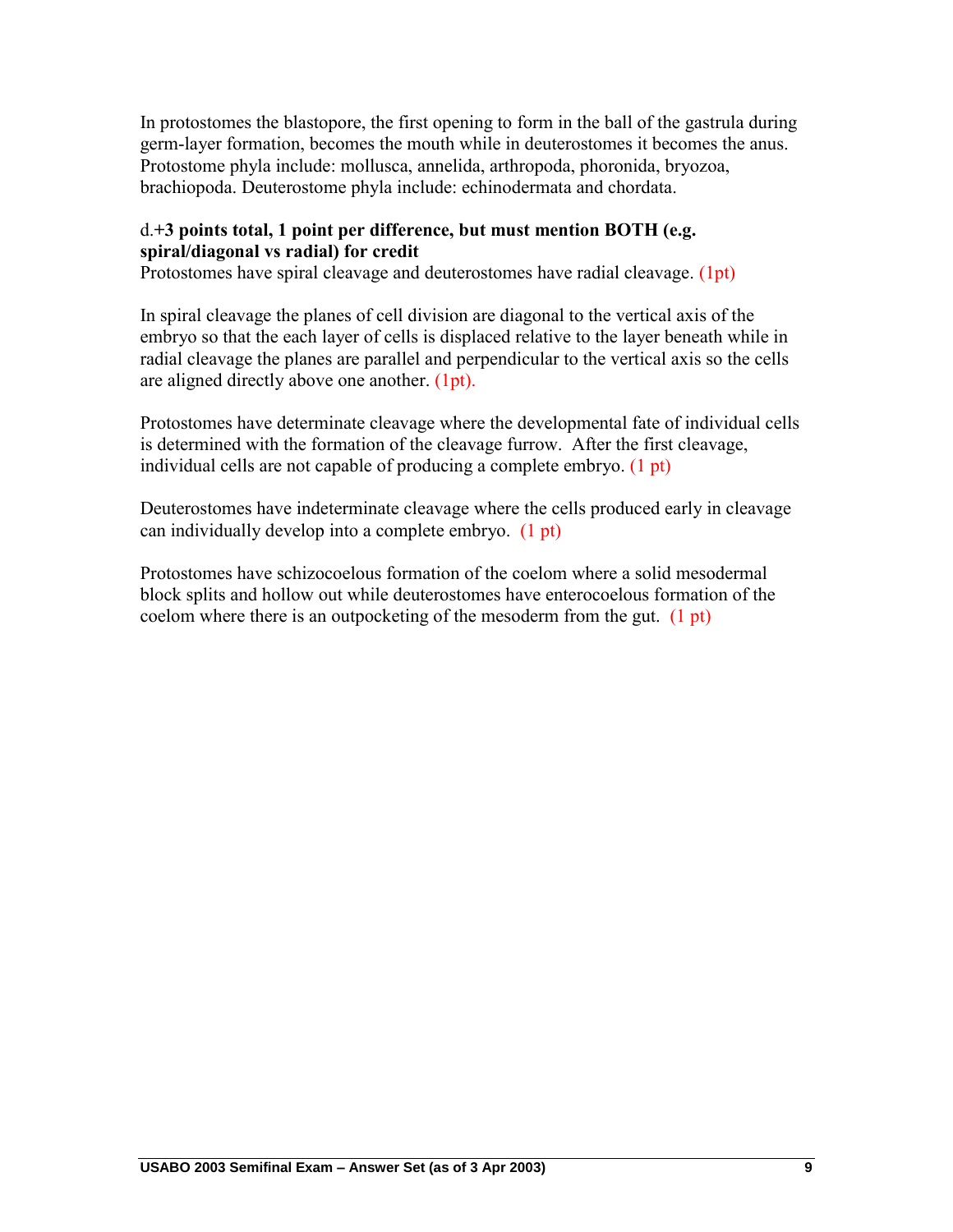In protostomes the blastopore, the first opening to form in the ball of the gastrula during germ-layer formation, becomes the mouth while in deuterostomes it becomes the anus. Protostome phyla include: mollusca, annelida, arthropoda, phoronida, bryozoa, brachiopoda. Deuterostome phyla include: echinodermata and chordata.

## d.**+3 points total, 1 point per difference, but must mention BOTH (e.g. spiral/diagonal vs radial) for credit**

Protostomes have spiral cleavage and deuterostomes have radial cleavage. (1pt)

In spiral cleavage the planes of cell division are diagonal to the vertical axis of the embryo so that the each layer of cells is displaced relative to the layer beneath while in radial cleavage the planes are parallel and perpendicular to the vertical axis so the cells are aligned directly above one another. (1pt).

Protostomes have determinate cleavage where the developmental fate of individual cells is determined with the formation of the cleavage furrow. After the first cleavage, individual cells are not capable of producing a complete embryo. (1 pt)

Deuterostomes have indeterminate cleavage where the cells produced early in cleavage can individually develop into a complete embryo. (1 pt)

Protostomes have schizocoelous formation of the coelom where a solid mesodermal block splits and hollow out while deuterostomes have enterocoelous formation of the coelom where there is an outpocketing of the mesoderm from the gut. (1 pt)